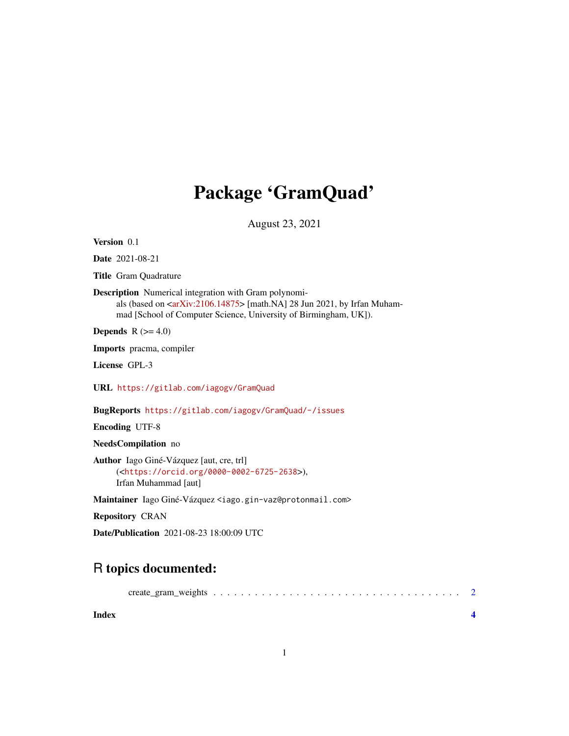## Package 'GramQuad'

August 23, 2021

<span id="page-0-0"></span>Version 0.1

Date 2021-08-21

Title Gram Quadrature

Description Numerical integration with Gram polynomi-

als (based on [<arXiv:2106.14875>](https://arxiv.org/abs/2106.14875) [math.NA] 28 Jun 2021, by Irfan Muhammad [School of Computer Science, University of Birmingham, UK]).

**Depends**  $R$  ( $>= 4.0$ )

Imports pracma, compiler

License GPL-3

URL <https://gitlab.com/iagogv/GramQuad>

BugReports <https://gitlab.com/iagogv/GramQuad/-/issues>

Encoding UTF-8

NeedsCompilation no

Author Iago Giné-Vázquez [aut, cre, trl] (<<https://orcid.org/0000-0002-6725-2638>>), Irfan Muhammad [aut]

Maintainer Iago Giné-Vázquez <iago.gin-vaz@protonmail.com>

Repository CRAN

Date/Publication 2021-08-23 18:00:09 UTC

### R topics documented:

|--|--|--|--|--|--|--|--|--|--|--|--|--|--|--|--|--|--|--|--|--|--|--|--|--|--|--|--|--|--|

**Index** [4](#page-3-0)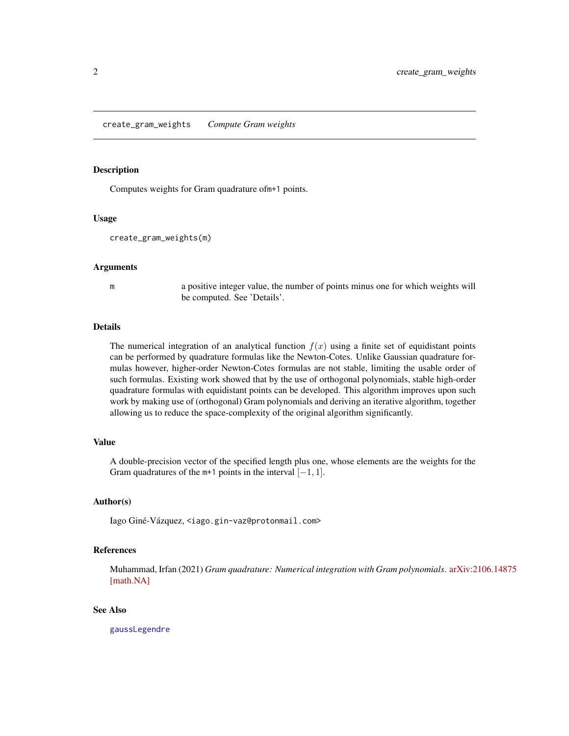#### <span id="page-1-0"></span>Description

Computes weights for Gram quadrature ofm+1 points.

#### Usage

```
create_gram_weights(m)
```
#### Arguments

m a positive integer value, the number of points minus one for which weights will be computed. See 'Details'.

#### Details

The numerical integration of an analytical function  $f(x)$  using a finite set of equidistant points can be performed by quadrature formulas like the Newton-Cotes. Unlike Gaussian quadrature formulas however, higher-order Newton-Cotes formulas are not stable, limiting the usable order of such formulas. Existing work showed that by the use of orthogonal polynomials, stable high-order quadrature formulas with equidistant points can be developed. This algorithm improves upon such work by making use of (orthogonal) Gram polynomials and deriving an iterative algorithm, together allowing us to reduce the space-complexity of the original algorithm significantly.

#### Value

A double-precision vector of the specified length plus one, whose elements are the weights for the Gram quadratures of the m+1 points in the interval  $[-1, 1]$ .

#### Author(s)

Iago Giné-Vázquez, <iago.gin-vaz@protonmail.com>

#### References

Muhammad, Irfan (2021) *Gram quadrature: Numerical integration with Gram polynomials*. [arXiv:2](https://arxiv.org/pdf/2106.14875.pdf)106.14875 [\[math.NA\]](https://arxiv.org/pdf/2106.14875.pdf)

#### See Also

[gaussLegendre](#page-0-0)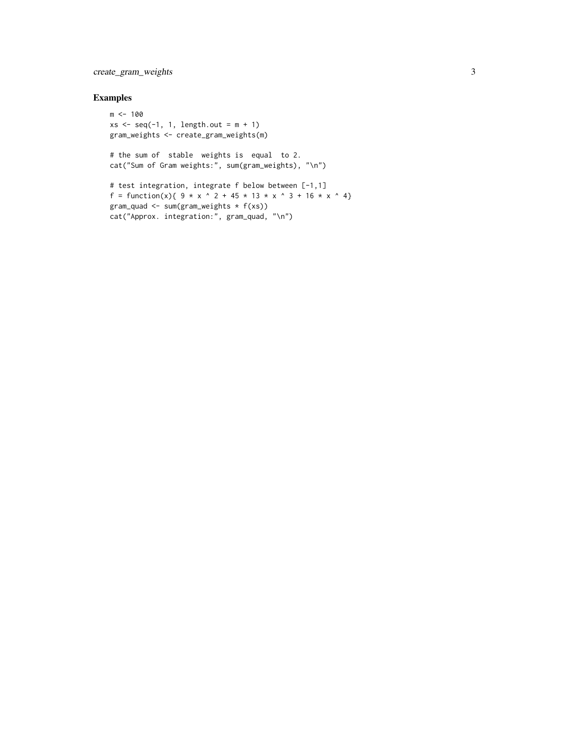#### create\_gram\_weights 3

#### Examples

```
m <- 100
xs \leq seq(-1, 1, length.out = m + 1)gram_weights <- create_gram_weights(m)
# the sum of stable weights is equal to 2.
cat("Sum of Gram weights:", sum(gram_weights), "\n")
# test integration, integrate f below between [-1,1]
f = function(x){ 9 \times x ^ 2 + 45 \times 13 \times x ^ 3 + 16 \times x ^ 4}
gram_quad <- sum(gram_weights * f(xs))
cat("Approx. integration:", gram_quad, "\n")
```